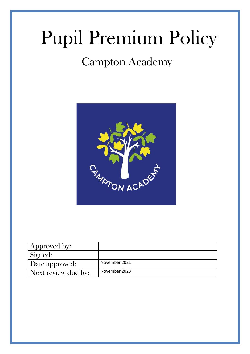# Pupil Premium Policy

# Campton Academy



| 'Approved by:       |               |
|---------------------|---------------|
| Signed:             |               |
| Date approved:      | November 2021 |
| Next review due by: | November 2023 |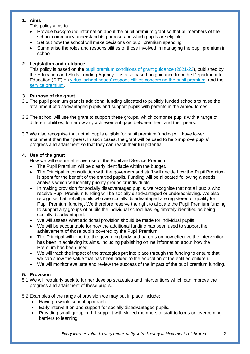# **1. Aims**

This policy aims to:

- Provide background information about the pupil premium grant so that all members of the school community understand its purpose and which pupils are eligible
- Set out how the school will make decisions on pupil premium spending
- Summarise the roles and responsibilities of those involved in managing the pupil premium in school

# **2. Legislation and guidance**

This policy is based on the [pupil premium conditions of grant guidance \(2021-22\)](https://www.gov.uk/government/publications/pupil-premium-allocations-and-conditions-of-grant-2021-to-2022), published by the Education and Skills Funding Agency. It is also based on guidance from the Department for Education (DfE) on [virtual school heads' responsibilities concerning the pupil premium,](https://www.gov.uk/guidance/pupil-premium-virtual-school-heads-responsibilities) and the [service premium.](https://www.gov.uk/government/publications/the-service-pupil-premium)

# **3. Purpose of the grant**

- 3.1 The pupil premium grant is additional funding allocated to publicly funded schools to raise the attainment of disadvantaged pupils and support pupils with parents in the armed forces.
- 3.2 The school will use the grant to support these groups, which comprise pupils with a range of different abilities, to narrow any achievement gaps between them and their peers.
- 3.3 We also recognise that not all pupils eligible for pupil premium funding will have lower attainment than their peers. In such cases, the grant will be used to help improve pupils' progress and attainment so that they can reach their full potential.

# **4. Use of the grant**

How we will ensure effective use of the Pupil and Service Premium:

- The Pupil Premium will be clearly identifiable within the budget.
- The Principal in consultation with the governors and staff will decide how the Pupil Premium is spent for the benefit of the entitled pupils. Funding will be allocated following a needs analysis which will identify priority groups or individuals.
- In making provision for socially disadvantaged pupils, we recognise that not all pupils who receive Pupil Premium funding will be socially disadvantaged or underachieving. We also recognise that not all pupils who are socially disadvantaged are registered or qualify for Pupil Premium funding. We therefore reserve the right to allocate the Pupil Premium funding to support any groups of pupils the individual school has legitimately identified as being socially disadvantaged.
- We will assess what additional provision should be made for individual pupils.
- We will be accountable for how the additional funding has been used to support the achievement of those pupils covered by the Pupil Premium.
- The Principal will report to the governing body and parents on how effective the intervention has been in achieving its aims, including publishing online information about how the Premium has been used.
- We will track the impact of the strategies put into place through the funding to ensure that we can show the value that has been added to the education of the entitled children.
- We will monitor evaluate and review the success of the impact of the pupil premium funding.

# **5. Provision**

5.1 We will regularly seek to further develop strategies and interventions which can improve the progress and attainment of these pupils.

5.2 Examples of the range of provision we may put in place include:

- Having a whole school approach.
- Early intervention and support for socially disadvantaged pupils.
- Providing small group or 1:1 support with skilled members of staff to focus on overcoming barriers to learning.

*Every learner valued, every opportunity seized, every achievement celebrated* 2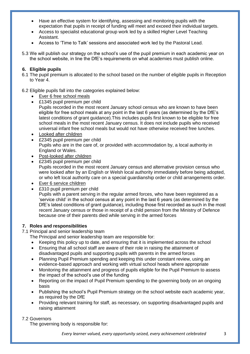- Have an effective system for identifying, assessing and monitoring pupils with the expectation that pupils in receipt of funding will meet and exceed their individual targets.
- Access to specialist educational group work led by a skilled Higher Level Teaching Assistant.
- Access to 'Time to Talk' sessions and associated work led by the Pastoral Lead.
- 5.3 We will publish our strategy on the school's use of the pupil premium in each academic year on the school website, in line the DfE's requirements on what academies must publish online.

#### **6. Eligible pupils**

6.1 The pupil premium is allocated to the school based on the number of eligible pupils in Reception to Year 4.

#### 6.2 Eligible pupils fall into the categories explained below:

- Ever 6 free school meals
- £1345 pupil premium per child
	- Pupils recorded in the most recent January school census who are known to have been eligible for free school meals at any point in the last 6 years (as determined by the DfE's latest conditions of grant guidance).This includes pupils first known to be eligible for free school meals in the most recent January census. It does not include pupils who received universal infant free school meals but would not have otherwise received free lunches.
- Looked after children
- £2345 pupil premium per child Pupils who are in the care of, or provided with accommodation by, a local authority in England or Wales.
- Post-looked after children
- £2345 pupil premium per child Pupils recorded in the most recent January census and alternative provision census who were looked after by an English or Welsh local authority immediately before being adopted, or who left local authority care on a special guardianship order or child arrangements order.
- Ever 6 service children
- £310 pupil premium per child

Pupils with a parent serving in the regular armed forces, who have been registered as a 'service child' in the school census at any point in the last 6 years (as determined by the DfE's latest conditions of grant guidance), including those first recorded as such in the most recent January census or those in receipt of a child pension from the Ministry of Defence because one of their parents died while serving in the armed forces

#### **7. Roles and responsibilities**

7.1 Principal and senior leadership team

The Principal and senior leadership team are responsible for:

- Keeping this policy up to date, and ensuring that it is implemented across the school
- Ensuring that all school staff are aware of their role in raising the attainment of disadvantaged pupils and supporting pupils with parents in the armed forces
- Planning Pupil Premium spending and keeping this under constant review, using an evidence-based approach and working with virtual school heads where appropriate
- Monitoring the attainment and progress of pupils eligible for the Pupil Premium to assess the impact of the school's use of the funding
- Reporting on the impact of Pupil Premium spending to the governing body on an ongoing basis
- Publishing the school's Pupil Premium strategy on the school website each academic year, as required by the DfE
- Providing relevant training for staff, as necessary, on supporting disadvantaged pupils and raising attainment

#### 7.2 Governors

The governing body is responsible for:

*Every learner valued, every opportunity seized, every achievement celebrated* 3